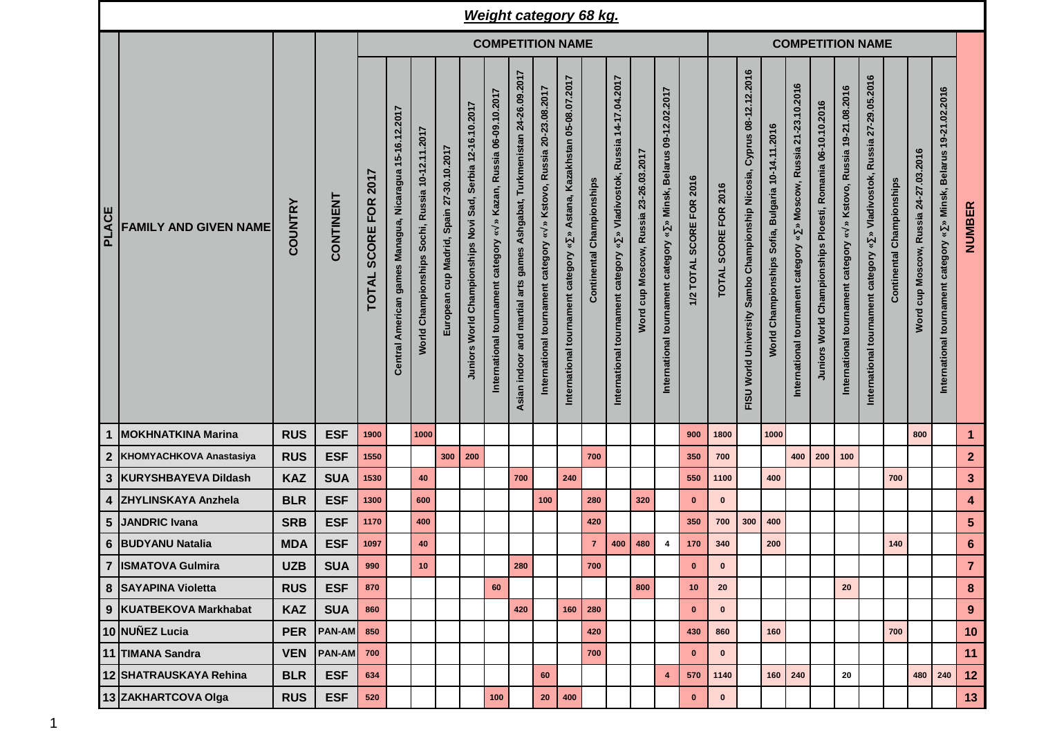|              |                              |                |               |                                             |                                                         |                                                 |                                          |                                                            | <b>Weight category 68 kg.</b>                                                                              |                                                                             |                                                                                                                |                                                                                                           |                              |                                                                                                               |                                             |                                                                                                                                |                          |                         |                                                                                              |                                                                             |                                                                                                                   |                                                                         |                                                                                  |                                                                               |                           |                                       |                                                                       |                  |  |  |
|--------------|------------------------------|----------------|---------------|---------------------------------------------|---------------------------------------------------------|-------------------------------------------------|------------------------------------------|------------------------------------------------------------|------------------------------------------------------------------------------------------------------------|-----------------------------------------------------------------------------|----------------------------------------------------------------------------------------------------------------|-----------------------------------------------------------------------------------------------------------|------------------------------|---------------------------------------------------------------------------------------------------------------|---------------------------------------------|--------------------------------------------------------------------------------------------------------------------------------|--------------------------|-------------------------|----------------------------------------------------------------------------------------------|-----------------------------------------------------------------------------|-------------------------------------------------------------------------------------------------------------------|-------------------------------------------------------------------------|----------------------------------------------------------------------------------|-------------------------------------------------------------------------------|---------------------------|---------------------------------------|-----------------------------------------------------------------------|------------------|--|--|
|              |                              |                |               | <b>COMPETITION NAME</b>                     |                                                         |                                                 |                                          |                                                            |                                                                                                            |                                                                             |                                                                                                                |                                                                                                           |                              |                                                                                                               |                                             |                                                                                                                                |                          | <b>COMPETITION NAME</b> |                                                                                              |                                                                             |                                                                                                                   |                                                                         |                                                                                  |                                                                               |                           |                                       |                                                                       |                  |  |  |
| <b>PLACE</b> | <b>FAMILY AND GIVEN NAME</b> | <b>COUNTRY</b> | CONTINENT     | 2017<br><b>FOR</b><br>SCORE<br><b>TOTAL</b> | Central American games Managua, Nicaragua 15-16.12.2017 | World Championships Sochi, Russia 10-12.11.2017 | European cup Madrid, Spain 27-30.10.2017 | Juniors World Championships Novi Sad, Serbia 12-16.10.2017 | Kazan, Russia 06-09.10.2017<br>$\rightarrow$<br>$\breve{\phantom{a}}$<br>International tournament category | Ashgabat, Turkmenistan 24-26.09.2017<br>Asian indoor and martial arts games | Kstovo, Russia 20-23.08.2017<br>$\rightarrow$<br>$\boldsymbol{\tilde{s}}$<br>International tournament category | Astana, Kazakhstan 05-08.07.2017<br>$\approx$<br>$\boldsymbol{\ast}$<br>International tournament category | Championships<br>Continental | 14-17.04.2017<br><b>Russia</b><br>Vladivostok,<br>$\boldsymbol{v}$<br>category<br>tournament<br>International | Russia 23-26.03.2017<br>cup Moscow,<br>Word | 09-12.02.2017<br><b>Belarus</b><br>Minsk,<br>$\hat{\mathbf{z}}$<br>$\boldsymbol{\ast}$<br>tournament category<br>International | 1/2 TOTAL SCORE FOR 2016 | TOTAL SCORE FOR 2016    | 08-12.12.2016<br>Cyprus<br>Championship Nicosia,<br>Sambo<br>World University<br><b>FISU</b> | 10-14.11.2016<br><b>Bulgaria</b><br>Sofia,<br>Championships<br><b>World</b> | 21-23.10.2016<br>Russia<br>Moscow,<br>$\hat{z}$<br>$\boldsymbol{\ast}$<br>category<br>tournament<br>International | Ploesti, Romania 06-10.10.2016<br>Championships<br><b>Juniors World</b> | » Kstovo, Russia 19-21.08.2016<br>$\approx$<br>International tournament category | Russia 27-29.05.2016<br>» Vladivostok,<br>International tournament category « | Continental Championships | Word cup Moscow, Russia 24-27.03.2016 | » Minsk, Belarus 19-21.02.2016<br>International tournament category « | NUMBER           |  |  |
| 1            | <b>MOKHNATKINA Marina</b>    | <b>RUS</b>     | <b>ESF</b>    | 1900                                        |                                                         | 1000                                            |                                          |                                                            |                                                                                                            |                                                                             |                                                                                                                |                                                                                                           |                              |                                                                                                               |                                             |                                                                                                                                | 900                      | 1800                    |                                                                                              | 1000                                                                        |                                                                                                                   |                                                                         |                                                                                  |                                                                               |                           | 800                                   |                                                                       | $\mathbf{1}$     |  |  |
|              | 2 KHOMYACHKOVA Anastasiya    | <b>RUS</b>     | <b>ESF</b>    | 1550                                        |                                                         |                                                 | 300                                      | 200                                                        |                                                                                                            |                                                                             |                                                                                                                |                                                                                                           | 700                          |                                                                                                               |                                             |                                                                                                                                | 350                      | 700                     |                                                                                              |                                                                             | 400                                                                                                               | 200                                                                     | 100                                                                              |                                                                               |                           |                                       |                                                                       | $\mathbf{2}$     |  |  |
|              | 3 KURYSHBAYEVA Dildash       | <b>KAZ</b>     | <b>SUA</b>    | 1530                                        |                                                         | 40                                              |                                          |                                                            |                                                                                                            | 700                                                                         |                                                                                                                | 240                                                                                                       |                              |                                                                                                               |                                             |                                                                                                                                | 550                      | 1100                    |                                                                                              | 400                                                                         |                                                                                                                   |                                                                         |                                                                                  |                                                                               | 700                       |                                       |                                                                       | $\mathbf{3}$     |  |  |
| 4            | <b>ZHYLINSKAYA Anzhela</b>   | <b>BLR</b>     | <b>ESF</b>    | 1300                                        |                                                         | 600                                             |                                          |                                                            |                                                                                                            |                                                                             | 100                                                                                                            |                                                                                                           | 280                          |                                                                                                               | 320                                         |                                                                                                                                | $\mathbf{0}$             | $\bf{0}$                |                                                                                              |                                                                             |                                                                                                                   |                                                                         |                                                                                  |                                                                               |                           |                                       |                                                                       | $\boldsymbol{4}$ |  |  |
| 5            | JANDRIC Ivana                | <b>SRB</b>     | <b>ESF</b>    | 1170                                        |                                                         | 400                                             |                                          |                                                            |                                                                                                            |                                                                             |                                                                                                                |                                                                                                           | 420                          |                                                                                                               |                                             |                                                                                                                                | 350                      | 700                     | 300                                                                                          | 400                                                                         |                                                                                                                   |                                                                         |                                                                                  |                                                                               |                           |                                       |                                                                       | $5\phantom{1}$   |  |  |
|              | 6 BUDYANU Natalia            | <b>MDA</b>     | <b>ESF</b>    | 1097                                        |                                                         | 40                                              |                                          |                                                            |                                                                                                            |                                                                             |                                                                                                                |                                                                                                           | $\overline{7}$               | 400                                                                                                           | 480                                         | 4                                                                                                                              | 170                      | 340                     |                                                                                              | 200                                                                         |                                                                                                                   |                                                                         |                                                                                  |                                                                               | 140                       |                                       |                                                                       | $\bf 6$          |  |  |
|              | 7  ISMATOVA Gulmira          | <b>UZB</b>     | <b>SUA</b>    | 990                                         |                                                         | 10                                              |                                          |                                                            |                                                                                                            | 280                                                                         |                                                                                                                |                                                                                                           | 700                          |                                                                                                               |                                             |                                                                                                                                | $\mathbf 0$              | $\bf{0}$                |                                                                                              |                                                                             |                                                                                                                   |                                                                         |                                                                                  |                                                                               |                           |                                       |                                                                       | $\overline{7}$   |  |  |
|              | 8 SAYAPINA Violetta          | <b>RUS</b>     | <b>ESF</b>    | 870                                         |                                                         |                                                 |                                          |                                                            | 60                                                                                                         |                                                                             |                                                                                                                |                                                                                                           |                              |                                                                                                               | 800                                         |                                                                                                                                | 10                       | 20                      |                                                                                              |                                                                             |                                                                                                                   |                                                                         | 20                                                                               |                                                                               |                           |                                       |                                                                       | 8                |  |  |
|              | 9 KUATBEKOVA Markhabat       | <b>KAZ</b>     | <b>SUA</b>    | 860                                         |                                                         |                                                 |                                          |                                                            |                                                                                                            | 420                                                                         |                                                                                                                |                                                                                                           | $160$   280                  |                                                                                                               |                                             |                                                                                                                                | $\mathbf{0}$             | $\bf{0}$                |                                                                                              |                                                                             |                                                                                                                   |                                                                         |                                                                                  |                                                                               |                           |                                       |                                                                       | 9                |  |  |
|              | 10 NUÑEZ Lucia               | <b>PER</b>     | <b>PAN-AM</b> | 850                                         |                                                         |                                                 |                                          |                                                            |                                                                                                            |                                                                             |                                                                                                                |                                                                                                           | 420                          |                                                                                                               |                                             |                                                                                                                                | 430                      | 860                     |                                                                                              | 160                                                                         |                                                                                                                   |                                                                         |                                                                                  |                                                                               | 700                       |                                       |                                                                       | 10               |  |  |
|              | 11 TIMANA Sandra             | <b>VEN</b>     | <b>PAN-AM</b> | 700                                         |                                                         |                                                 |                                          |                                                            |                                                                                                            |                                                                             |                                                                                                                |                                                                                                           | 700                          |                                                                                                               |                                             |                                                                                                                                | $\mathbf{0}$             | $\bf{0}$                |                                                                                              |                                                                             |                                                                                                                   |                                                                         |                                                                                  |                                                                               |                           |                                       |                                                                       | 11               |  |  |
|              | 12 SHATRAUSKAYA Rehina       | <b>BLR</b>     | <b>ESF</b>    | 634                                         |                                                         |                                                 |                                          |                                                            |                                                                                                            |                                                                             | 60                                                                                                             |                                                                                                           |                              |                                                                                                               |                                             | $\overline{\mathbf{4}}$                                                                                                        | 570                      | 1140                    |                                                                                              |                                                                             | 160 240                                                                                                           |                                                                         | 20                                                                               |                                                                               |                           | 480                                   | 240                                                                   | 12               |  |  |
|              | 13 ZAKHARTCOVA Olga          | <b>RUS</b>     | <b>ESF</b>    | 520                                         |                                                         |                                                 |                                          |                                                            | 100                                                                                                        |                                                                             | 20                                                                                                             | ${\bf 400}$                                                                                               |                              |                                                                                                               |                                             |                                                                                                                                | $\mathbf{0}$             | $\pmb{0}$               |                                                                                              |                                                                             |                                                                                                                   |                                                                         |                                                                                  |                                                                               |                           |                                       |                                                                       | 13               |  |  |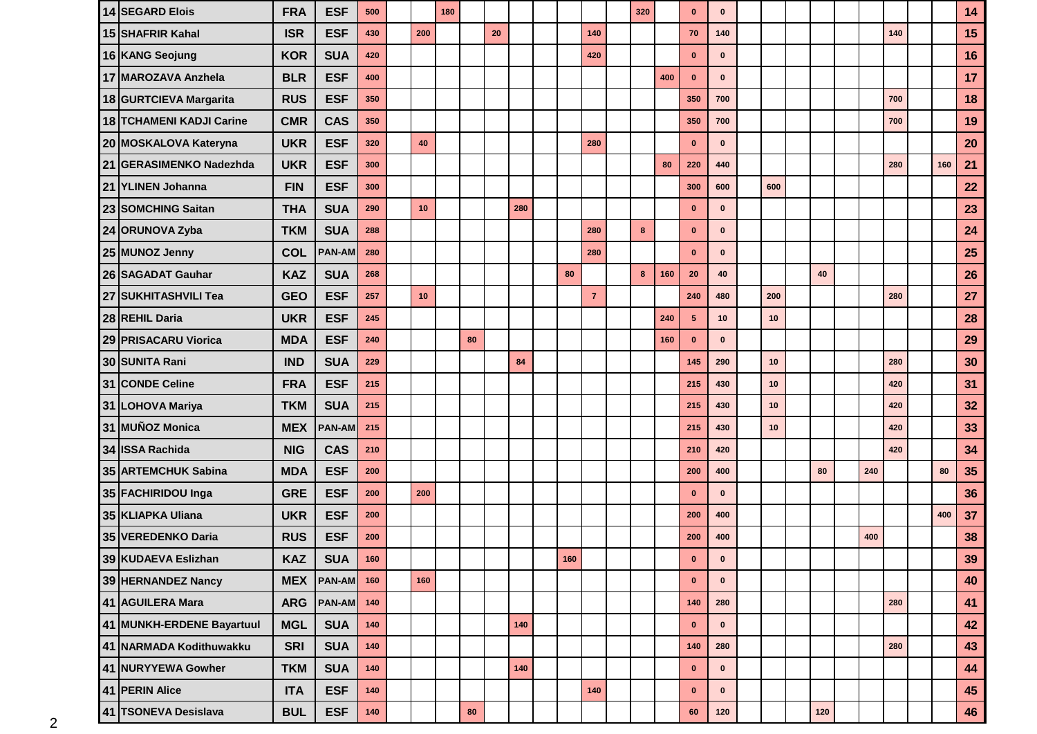| 14 SEGARD Elois           | <b>FRA</b> | <b>ESF</b>    | 500   |     | 180 |    |    |     |     |                | 320 |     | $\bf{0}$       | $\bf{0}$     |     |     |     |     |     | 14 |
|---------------------------|------------|---------------|-------|-----|-----|----|----|-----|-----|----------------|-----|-----|----------------|--------------|-----|-----|-----|-----|-----|----|
| 15 SHAFRIR Kahal          | <b>ISR</b> | <b>ESF</b>    | 430   | 200 |     |    | 20 |     |     | 140            |     |     | 70             | 140          |     |     |     | 140 |     | 15 |
| 16 KANG Seojung           | <b>KOR</b> | <b>SUA</b>    | 420   |     |     |    |    |     |     | 420            |     |     | $\mathbf{0}$   | $\mathbf{0}$ |     |     |     |     |     | 16 |
| 17 MAROZAVA Anzhela       | <b>BLR</b> | <b>ESF</b>    | 400   |     |     |    |    |     |     |                |     | 400 | $\bf{0}$       | $\mathbf{0}$ |     |     |     |     |     | 17 |
| 18 GURTCIEVA Margarita    | <b>RUS</b> | <b>ESF</b>    | 350   |     |     |    |    |     |     |                |     |     | 350            | 700          |     |     |     | 700 |     | 18 |
| 18 TCHAMENI KADJI Carine  | <b>CMR</b> | <b>CAS</b>    | 350   |     |     |    |    |     |     |                |     |     | 350            | 700          |     |     |     | 700 |     | 19 |
| 20 MOSKALOVA Kateryna     | <b>UKR</b> | <b>ESF</b>    | 320   | 40  |     |    |    |     |     | 280            |     |     | $\mathbf{0}$   | $\mathbf 0$  |     |     |     |     |     | 20 |
| 21 GERASIMENKO Nadezhda   | <b>UKR</b> | <b>ESF</b>    | 300   |     |     |    |    |     |     |                |     | 80  | 220            | 440          |     |     |     | 280 | 160 | 21 |
| 21 YLINEN Johanna         | <b>FIN</b> | <b>ESF</b>    | 300   |     |     |    |    |     |     |                |     |     | 300            | 600          | 600 |     |     |     |     | 22 |
| 23 SOMCHING Saitan        | <b>THA</b> | <b>SUA</b>    | 290   | 10  |     |    |    | 280 |     |                |     |     | $\mathbf{0}$   | $\mathbf{0}$ |     |     |     |     |     | 23 |
| 24 ORUNOVA Zyba           | <b>TKM</b> | <b>SUA</b>    | 288   |     |     |    |    |     |     | 280            | 8   |     | $\mathbf{0}$   | $\mathbf 0$  |     |     |     |     |     | 24 |
| 25 MUNOZ Jenny            | <b>COL</b> | <b>PAN-AM</b> | 280   |     |     |    |    |     |     | 280            |     |     | $\mathbf{0}$   | $\mathbf{0}$ |     |     |     |     |     | 25 |
| 26 SAGADAT Gauhar         | <b>KAZ</b> | <b>SUA</b>    | 268   |     |     |    |    |     | 80  |                | 8   | 160 | 20             | 40           |     | 40  |     |     |     | 26 |
| 27 SUKHITASHVILI Tea      | <b>GEO</b> | <b>ESF</b>    | 257   | 10  |     |    |    |     |     | $\overline{7}$ |     |     | 240            | 480          | 200 |     |     | 280 |     | 27 |
| 28 REHIL Daria            | <b>UKR</b> | <b>ESF</b>    | 245   |     |     |    |    |     |     |                |     | 240 | $5\phantom{1}$ | 10           | 10  |     |     |     |     | 28 |
| 29 PRISACARU Viorica      | <b>MDA</b> | <b>ESF</b>    | 240   |     |     | 80 |    |     |     |                |     | 160 | $\mathbf{0}$   | $\mathbf{0}$ |     |     |     |     |     | 29 |
| 30 SUNITA Rani            | <b>IND</b> | <b>SUA</b>    | 229   |     |     |    |    | 84  |     |                |     |     | 145            | 290          | 10  |     |     | 280 |     | 30 |
| 31 CONDE Celine           | <b>FRA</b> | <b>ESF</b>    | 215   |     |     |    |    |     |     |                |     |     | 215            | 430          | 10  |     |     | 420 |     | 31 |
| 31 LOHOVA Mariya          | <b>TKM</b> | <b>SUA</b>    | 215   |     |     |    |    |     |     |                |     |     | 215            | 430          | 10  |     |     | 420 |     | 32 |
| 31 MUÑOZ Monica           | <b>MEX</b> | <b>PAN-AM</b> | 215   |     |     |    |    |     |     |                |     |     | 215            | 430          | 10  |     |     | 420 |     | 33 |
| 34 ISSA Rachida           | <b>NIG</b> | <b>CAS</b>    | 210   |     |     |    |    |     |     |                |     |     | 210            | 420          |     |     |     | 420 |     | 34 |
| 35 ARTEMCHUK Sabina       | <b>MDA</b> | <b>ESF</b>    | 200   |     |     |    |    |     |     |                |     |     | 200            | 400          |     | 80  | 240 |     | 80  | 35 |
| 35 FACHIRIDOU Inga        | <b>GRE</b> | <b>ESF</b>    | 200   | 200 |     |    |    |     |     |                |     |     | $\mathbf{0}$   | $\mathbf{0}$ |     |     |     |     |     | 36 |
| 35 KLIAPKA Uliana         | <b>UKR</b> | <b>ESF</b>    | 200   |     |     |    |    |     |     |                |     |     | 200            | 400          |     |     |     |     | 400 | 37 |
| 35 VEREDENKO Daria        | <b>RUS</b> | <b>ESF</b>    | 200   |     |     |    |    |     |     |                |     |     | 200            | 400          |     |     | 400 |     |     | 38 |
| 39 KUDAEVA Eslizhan       | <b>KAZ</b> | <b>SUA</b>    | 160   |     |     |    |    |     | 160 |                |     |     | $\mathbf{0}$   |              |     |     |     |     |     | 39 |
| 39 HERNANDEZ Nancy        | <b>MEX</b> | <b>PAN-AM</b> | 160   | 160 |     |    |    |     |     |                |     |     | $\mathbf{0}$   | $\mathbf 0$  |     |     |     |     |     | 40 |
| 41 AGUILERA Mara          | <b>ARG</b> | PAN-AM 140    |       |     |     |    |    |     |     |                |     |     | 140            | 280          |     |     |     | 280 |     | 41 |
| 41 MUNKH-ERDENE Bayartuul | <b>MGL</b> | <b>SUA</b>    | 140   |     |     |    |    | 140 |     |                |     |     | $\mathbf 0$    | $\mathbf 0$  |     |     |     |     |     | 42 |
| 41 NARMADA Kodithuwakku   | <b>SRI</b> | <b>SUA</b>    | 140   |     |     |    |    |     |     |                |     |     | 140            | 280          |     |     |     | 280 |     | 43 |
| 41 NURYYEWA Gowher        | <b>TKM</b> | <b>SUA</b>    | 140   |     |     |    |    | 140 |     |                |     |     | $\mathbf 0$    | $\mathbf 0$  |     |     |     |     |     | 44 |
| 41 PERIN Alice            | <b>ITA</b> | <b>ESF</b>    | 140   |     |     |    |    |     |     | 140            |     |     | $\mathbf 0$    | $\bf{0}$     |     |     |     |     |     | 45 |
| 41 TSONEVA Desislava      | <b>BUL</b> | <b>ESF</b>    | $140$ |     |     | 80 |    |     |     |                |     |     | 60             | 120          |     | 120 |     |     |     | 46 |